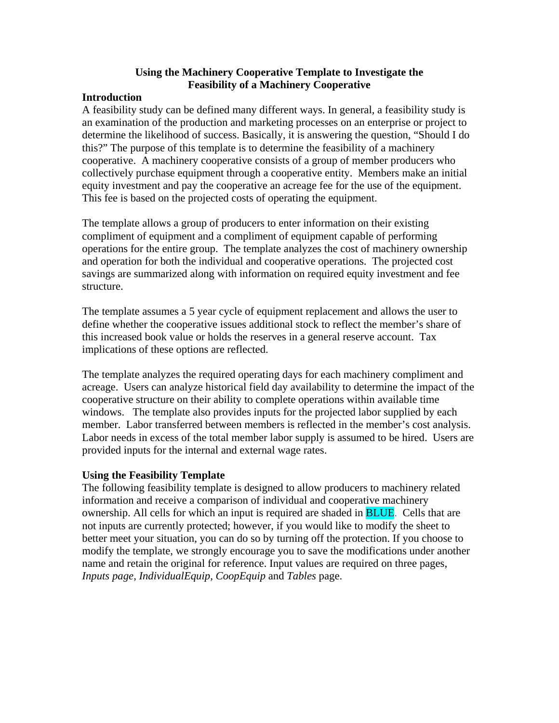## **Using the Machinery Cooperative Template to Investigate the Feasibility of a Machinery Cooperative**

#### **Introduction**

A feasibility study can be defined many different ways. In general, a feasibility study is an examination of the production and marketing processes on an enterprise or project to determine the likelihood of success. Basically, it is answering the question, "Should I do this?" The purpose of this template is to determine the feasibility of a machinery cooperative. A machinery cooperative consists of a group of member producers who collectively purchase equipment through a cooperative entity. Members make an initial equity investment and pay the cooperative an acreage fee for the use of the equipment. This fee is based on the projected costs of operating the equipment.

The template allows a group of producers to enter information on their existing compliment of equipment and a compliment of equipment capable of performing operations for the entire group. The template analyzes the cost of machinery ownership and operation for both the individual and cooperative operations. The projected cost savings are summarized along with information on required equity investment and fee structure.

The template assumes a 5 year cycle of equipment replacement and allows the user to define whether the cooperative issues additional stock to reflect the member's share of this increased book value or holds the reserves in a general reserve account. Tax implications of these options are reflected.

The template analyzes the required operating days for each machinery compliment and acreage. Users can analyze historical field day availability to determine the impact of the cooperative structure on their ability to complete operations within available time windows. The template also provides inputs for the projected labor supplied by each member. Labor transferred between members is reflected in the member's cost analysis. Labor needs in excess of the total member labor supply is assumed to be hired. Users are provided inputs for the internal and external wage rates.

# **Using the Feasibility Template**

The following feasibility template is designed to allow producers to machinery related information and receive a comparison of individual and cooperative machinery ownership. All cells for which an input is required are shaded in BLUE. Cells that are not inputs are currently protected; however, if you would like to modify the sheet to better meet your situation, you can do so by turning off the protection. If you choose to modify the template, we strongly encourage you to save the modifications under another name and retain the original for reference. Input values are required on three pages, *Inputs page*, *IndividualEquip, CoopEquip* and *Tables* page.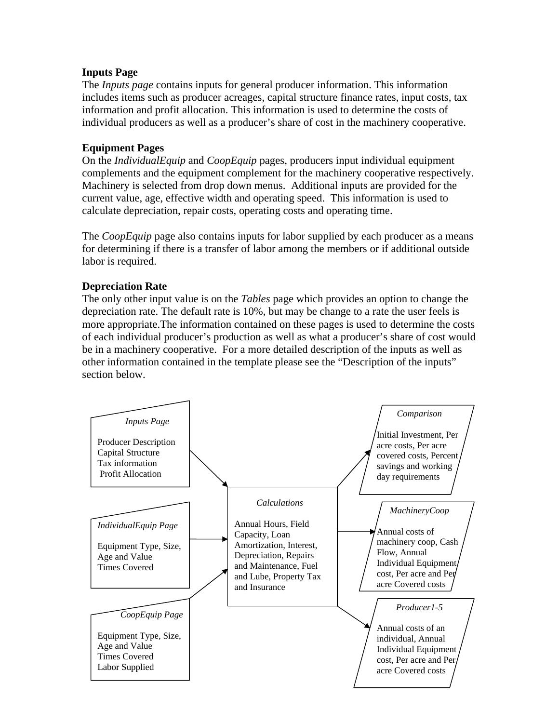## **Inputs Page**

The *Inputs page* contains inputs for general producer information. This information includes items such as producer acreages, capital structure finance rates, input costs, tax information and profit allocation. This information is used to determine the costs of individual producers as well as a producer's share of cost in the machinery cooperative.

## **Equipment Pages**

On the *IndividualEquip* and *CoopEquip* pages, producers input individual equipment complements and the equipment complement for the machinery cooperative respectively. Machinery is selected from drop down menus. Additional inputs are provided for the current value, age, effective width and operating speed. This information is used to calculate depreciation, repair costs, operating costs and operating time.

The *CoopEquip* page also contains inputs for labor supplied by each producer as a means for determining if there is a transfer of labor among the members or if additional outside labor is required.

## **Depreciation Rate**

The only other input value is on the *Tables* page which provides an option to change the depreciation rate. The default rate is 10%, but may be change to a rate the user feels is more appropriate.The information contained on these pages is used to determine the costs of each individual producer's production as well as what a producer's share of cost would be in a machinery cooperative. For a more detailed description of the inputs as well as other information contained in the template please see the "Description of the inputs" section below.

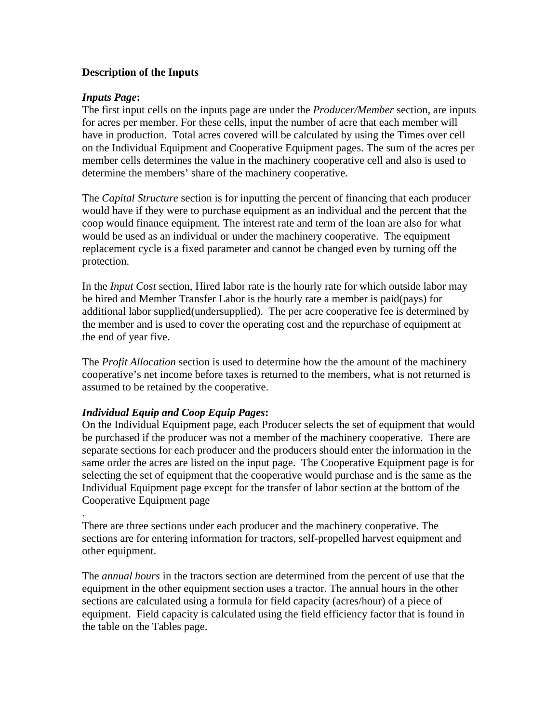## **Description of the Inputs**

#### *Inputs Page***:**

The first input cells on the inputs page are under the *Producer/Member* section, are inputs for acres per member. For these cells, input the number of acre that each member will have in production. Total acres covered will be calculated by using the Times over cell on the Individual Equipment and Cooperative Equipment pages. The sum of the acres per member cells determines the value in the machinery cooperative cell and also is used to determine the members' share of the machinery cooperative.

The *Capital Structure* section is for inputting the percent of financing that each producer would have if they were to purchase equipment as an individual and the percent that the coop would finance equipment. The interest rate and term of the loan are also for what would be used as an individual or under the machinery cooperative. The equipment replacement cycle is a fixed parameter and cannot be changed even by turning off the protection.

In the *Input Cost* section, Hired labor rate is the hourly rate for which outside labor may be hired and Member Transfer Labor is the hourly rate a member is paid(pays) for additional labor supplied(undersupplied). The per acre cooperative fee is determined by the member and is used to cover the operating cost and the repurchase of equipment at the end of year five.

The *Profit Allocation* section is used to determine how the the amount of the machinery cooperative's net income before taxes is returned to the members, what is not returned is assumed to be retained by the cooperative.

#### *Individual Equip and Coop Equip Pages***:**

On the Individual Equipment page, each Producer selects the set of equipment that would be purchased if the producer was not a member of the machinery cooperative. There are separate sections for each producer and the producers should enter the information in the same order the acres are listed on the input page. The Cooperative Equipment page is for selecting the set of equipment that the cooperative would purchase and is the same as the Individual Equipment page except for the transfer of labor section at the bottom of the Cooperative Equipment page

. There are three sections under each producer and the machinery cooperative. The sections are for entering information for tractors, self-propelled harvest equipment and other equipment.

The *annual hours* in the tractors section are determined from the percent of use that the equipment in the other equipment section uses a tractor. The annual hours in the other sections are calculated using a formula for field capacity (acres/hour) of a piece of equipment. Field capacity is calculated using the field efficiency factor that is found in the table on the Tables page.